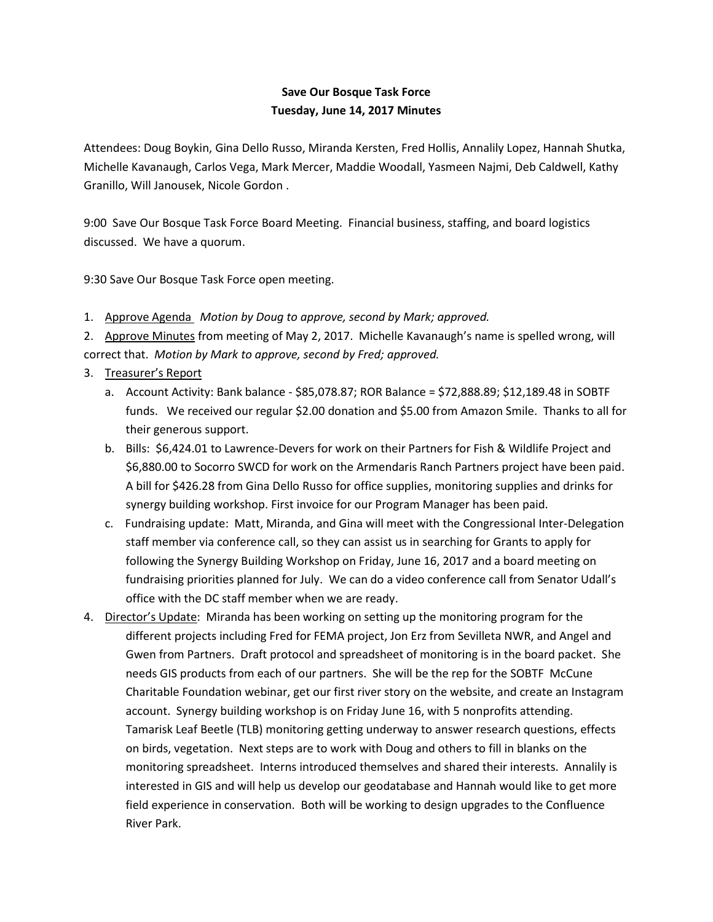## **Save Our Bosque Task Force Tuesday, June 14, 2017 Minutes**

Attendees: Doug Boykin, Gina Dello Russo, Miranda Kersten, Fred Hollis, Annalily Lopez, Hannah Shutka, Michelle Kavanaugh, Carlos Vega, Mark Mercer, Maddie Woodall, Yasmeen Najmi, Deb Caldwell, Kathy Granillo, Will Janousek, Nicole Gordon .

9:00 Save Our Bosque Task Force Board Meeting. Financial business, staffing, and board logistics discussed. We have a quorum.

9:30 Save Our Bosque Task Force open meeting.

1. Approve Agenda *Motion by Doug to approve, second by Mark; approved.*

2. Approve Minutes from meeting of May 2, 2017. Michelle Kavanaugh's name is spelled wrong, will correct that. *Motion by Mark to approve, second by Fred; approved.*

## 3. Treasurer's Report

- a. Account Activity: Bank balance \$85,078.87; ROR Balance = \$72,888.89; \$12,189.48 in SOBTF funds. We received our regular \$2.00 donation and \$5.00 from Amazon Smile. Thanks to all for their generous support.
- b. Bills: \$6,424.01 to Lawrence-Devers for work on their Partners for Fish & Wildlife Project and \$6,880.00 to Socorro SWCD for work on the Armendaris Ranch Partners project have been paid. A bill for \$426.28 from Gina Dello Russo for office supplies, monitoring supplies and drinks for synergy building workshop. First invoice for our Program Manager has been paid.
- c. Fundraising update: Matt, Miranda, and Gina will meet with the Congressional Inter-Delegation staff member via conference call, so they can assist us in searching for Grants to apply for following the Synergy Building Workshop on Friday, June 16, 2017 and a board meeting on fundraising priorities planned for July. We can do a video conference call from Senator Udall's office with the DC staff member when we are ready.
- 4. Director's Update: Miranda has been working on setting up the monitoring program for the different projects including Fred for FEMA project, Jon Erz from Sevilleta NWR, and Angel and Gwen from Partners. Draft protocol and spreadsheet of monitoring is in the board packet. She needs GIS products from each of our partners. She will be the rep for the SOBTF McCune Charitable Foundation webinar, get our first river story on the website, and create an Instagram account. Synergy building workshop is on Friday June 16, with 5 nonprofits attending. Tamarisk Leaf Beetle (TLB) monitoring getting underway to answer research questions, effects on birds, vegetation. Next steps are to work with Doug and others to fill in blanks on the monitoring spreadsheet. Interns introduced themselves and shared their interests. Annalily is interested in GIS and will help us develop our geodatabase and Hannah would like to get more field experience in conservation. Both will be working to design upgrades to the Confluence River Park.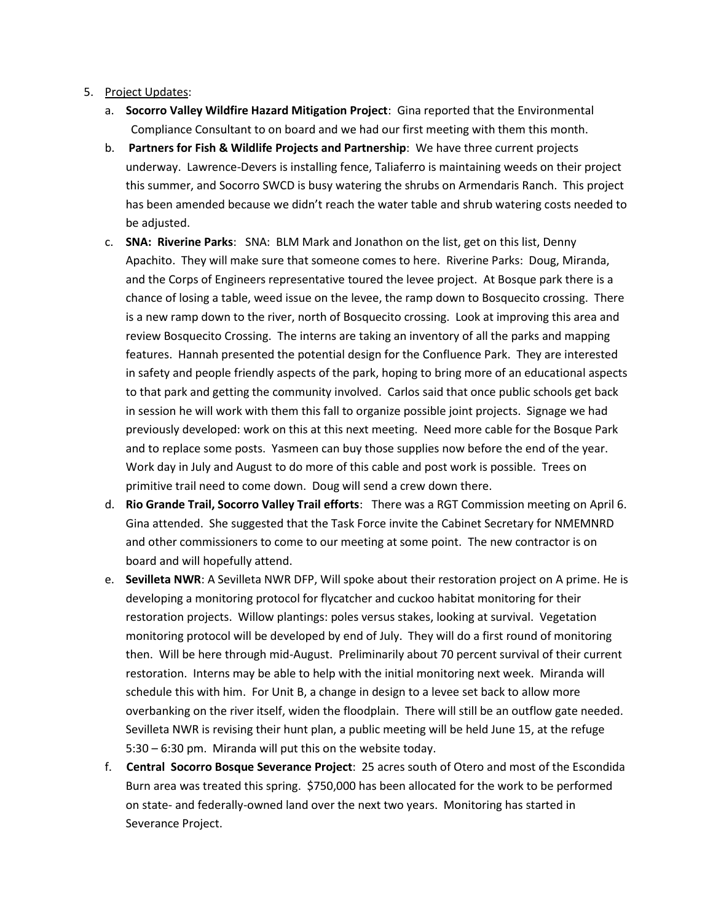## 5. Project Updates:

- a. **Socorro Valley Wildfire Hazard Mitigation Project**: Gina reported that the Environmental Compliance Consultant to on board and we had our first meeting with them this month.
- b. **Partners for Fish & Wildlife Projects and Partnership**: We have three current projects underway. Lawrence-Devers is installing fence, Taliaferro is maintaining weeds on their project this summer, and Socorro SWCD is busy watering the shrubs on Armendaris Ranch. This project has been amended because we didn't reach the water table and shrub watering costs needed to be adjusted.
- c. **SNA: Riverine Parks**: SNA: BLM Mark and Jonathon on the list, get on this list, Denny Apachito. They will make sure that someone comes to here. Riverine Parks: Doug, Miranda, and the Corps of Engineers representative toured the levee project. At Bosque park there is a chance of losing a table, weed issue on the levee, the ramp down to Bosquecito crossing. There is a new ramp down to the river, north of Bosquecito crossing. Look at improving this area and review Bosquecito Crossing. The interns are taking an inventory of all the parks and mapping features. Hannah presented the potential design for the Confluence Park. They are interested in safety and people friendly aspects of the park, hoping to bring more of an educational aspects to that park and getting the community involved. Carlos said that once public schools get back in session he will work with them this fall to organize possible joint projects. Signage we had previously developed: work on this at this next meeting. Need more cable for the Bosque Park and to replace some posts. Yasmeen can buy those supplies now before the end of the year. Work day in July and August to do more of this cable and post work is possible. Trees on primitive trail need to come down. Doug will send a crew down there.
- d. **Rio Grande Trail, Socorro Valley Trail efforts**: There was a RGT Commission meeting on April 6. Gina attended. She suggested that the Task Force invite the Cabinet Secretary for NMEMNRD and other commissioners to come to our meeting at some point. The new contractor is on board and will hopefully attend.
- e. **Sevilleta NWR**: A Sevilleta NWR DFP, Will spoke about their restoration project on A prime. He is developing a monitoring protocol for flycatcher and cuckoo habitat monitoring for their restoration projects. Willow plantings: poles versus stakes, looking at survival. Vegetation monitoring protocol will be developed by end of July. They will do a first round of monitoring then. Will be here through mid-August. Preliminarily about 70 percent survival of their current restoration. Interns may be able to help with the initial monitoring next week. Miranda will schedule this with him. For Unit B, a change in design to a levee set back to allow more overbanking on the river itself, widen the floodplain. There will still be an outflow gate needed. Sevilleta NWR is revising their hunt plan, a public meeting will be held June 15, at the refuge 5:30 – 6:30 pm. Miranda will put this on the website today.
- f. **Central Socorro Bosque Severance Project**: 25 acres south of Otero and most of the Escondida Burn area was treated this spring. \$750,000 has been allocated for the work to be performed on state- and federally-owned land over the next two years. Monitoring has started in Severance Project.